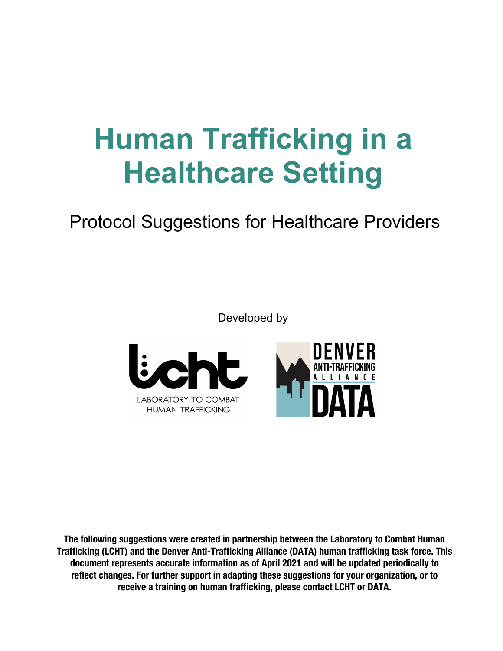# **Human Trafficking in a Healthcare Setting**

# Protocol Suggestions for Healthcare Providers

Developed by



**The following suggestions were created in partnership between the Laboratory to Combat Human Trafficking (LCHT) and the Denver Anti-Trafficking Alliance (DATA) human trafficking task force. This document represents accurate information as of April 2021 and will be updated periodically to reflect changes. For further support in adapting these suggestions for your organization, or to receive a training on human trafficking, please contact LCHT or DATA.**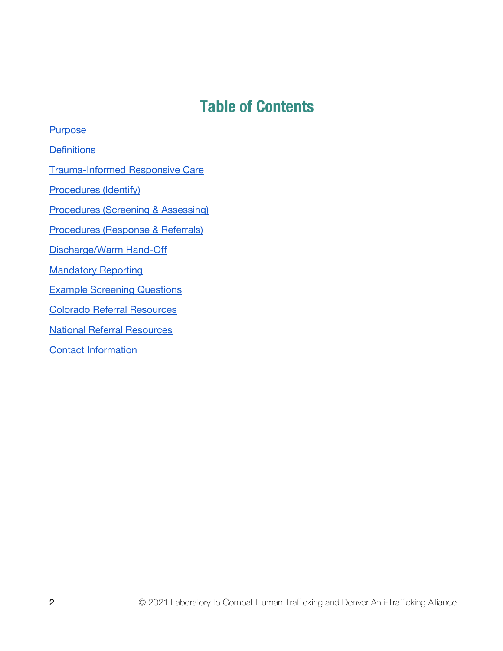### **Table of Contents**

**Purpose Definitions** [Trauma-Informed Responsive Care](#page-9-0)  [Procedures \(Identify\)](#page-4-0)  [Procedures \(Screening & Assessing\)](#page-6-0)  Procedures (Response & Referrals) [Discharge/Warm Hand-Off](#page-8-0)  **Mandatory Reporting** [Example Screening Questions](#page-12-0)  [Colorado Referral Resources](#page-14-0)  [National Referral Resources](#page-15-0)  Contact Information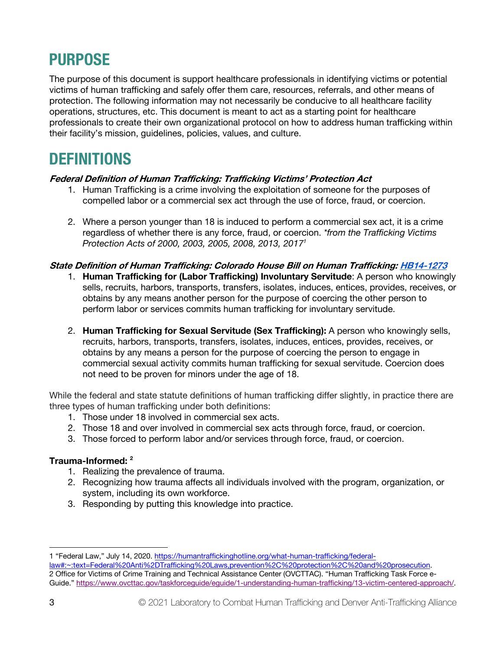# <span id="page-2-0"></span>**PURPOSE**

The purpose of this document is support healthcare professionals in identifying victims or potential victims of human trafficking and safely offer them care, resources, referrals, and other means of protection. The following information may not necessarily be conducive to all healthcare facility operations, structures, etc. This document is meant to act as a starting point for healthcare professionals to create their own organizational protocol on how to address human trafficking within their facility's mission, guidelines, policies, values, and culture.

### **DEFINITIONS**

#### **Federal Definition of Human Trafficking: Trafficking Victims' Protection Act**

- 1. Human Trafficking is a crime involving the exploitation of someone for the purposes of compelled labor or a commercial sex act through the use of force, fraud, or coercion.
- 2. Where a person younger than 18 is induced to perform a commercial sex act, it is a crime regardless of whether there is any force, fraud, or coercion. *\*from the Trafficking Victims Protection Acts of 2000, 2003, 2005, 2008, 2013, 20171*

#### **State Definition of Human Trafficking: Colorado House Bill on Human Trafficking[: HB14-1273](https://cdpsdocs.state.co.us/ovp/Human_Trafficking/ActHB14-1273.pdf)**

- 1. **Human Trafficking for (Labor Trafficking) Involuntary Servitude**: A person who knowingly sells, recruits, harbors, transports, transfers, isolates, induces, entices, provides, receives, or obtains by any means another person for the purpose of coercing the other person to perform labor or services commits human trafficking for involuntary servitude.
- 2. **Human Trafficking for Sexual Servitude (Sex Trafficking):** A person who knowingly sells, recruits, harbors, transports, transfers, isolates, induces, entices, provides, receives, or obtains by any means a person for the purpose of coercing the person to engage in commercial sexual activity commits human trafficking for sexual servitude. Coercion does not need to be proven for minors under the age of 18.

While the federal and state statute definitions of human trafficking differ slightly, in practice there are three types of human trafficking under both definitions:

- 1. Those under 18 involved in commercial sex acts.
- 2. Those 18 and over involved in commercial sex acts through force, fraud, or coercion.
- 3. Those forced to perform labor and/or services through force, fraud, or coercion.

#### **Trauma-Informed: 2**

- 1. Realizing the prevalence of trauma.
- 2. Recognizing how trauma affects all individuals involved with the program, organization, or system, including its own workforce.
- 3. Responding by putting this knowledge into practice.

<sup>1 &</sup>quot;Federal Law," July 14, 2020. [https://humantraffickinghotline.org/what-human-trafficking/fed](https://humantraffickinghotline.org/what-human-trafficking/federal-law#:~:text=Federal%20Anti%2DTrafficking%20Laws)eral-

[law#:~:text=Federal%20Anti%2DTrafficking%20Laws,prevention%2C%20protection%2C%20and%2](https://humantraffickinghotline.org/what-human-trafficking/federal-law#:~:text=Federal%20Anti%2DTrafficking%20Laws)0prosecution. 2 Office for Victims of Crime Training and Technical Assistance Center (OVCTTAC). "Human Trafficking Task Force e-Guide." [https://www.ovcttac.gov/taskforceguide/eguide/1-understanding-human-trafficking/13-victim-centered-approach/.](https://www.ovcttac.gov/taskforceguide/eguide/1-understanding-human-trafficking/13-victim-centered-approach/)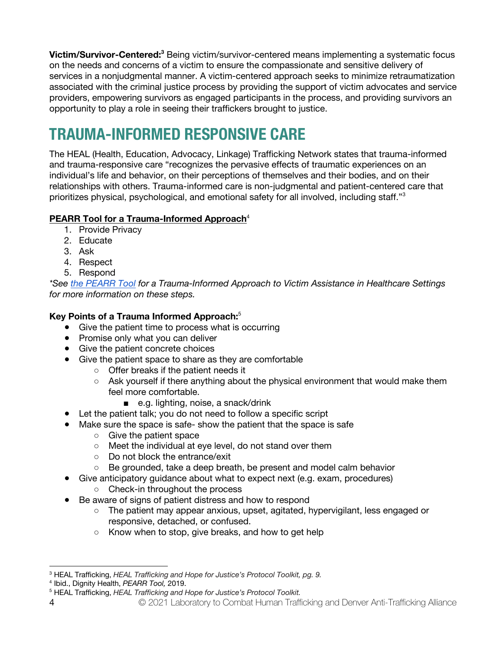**Victim/Survivor-Centered:3** Being victim/survivor-centered means implementing a systematic focus on the needs and concerns of a victim to ensure the compassionate and sensitive delivery of services in a nonjudgmental manner. A victim-centered approach seeks to minimize retraumatization associated with the criminal justice process by providing the support of victim advocates and service providers, empowering survivors as engaged participants in the process, and providing survivors an opportunity to play a role in seeing their traffickers brought to justice.

### **TRAUMA-INFORMED RESPONSIVE CARE**

The HEAL (Health, Education, Advocacy, Linkage) Trafficking Network states that trauma-informed and trauma-responsive care "recognizes the pervasive effects of traumatic experiences on an individual's life and behavior, on their perceptions of themselves and their bodies, and on their relationships with others. Trauma-informed care is non-judgmental and patient-centered care that prioritizes physical, psychological, and emotional safety for all involved, including staff."3

#### **PEARR Tool for a Trauma-Informed Approach**<sup>4</sup>

- 1. Provide Privacy
- 2. Educate
- 3. Ask
- 4. Respect
- 5. Respond

*\*See [the PEARR](https://www.dignityhealth.org/hello-humankindness/human-trafficking/victim-centered-and-trauma-informed/using-the-pearr-tool) Tool for a Trauma-Informed Approach to Victim Assistance in Healthcare Settings for more information on these steps.*

#### **Key Points of a Trauma Informed Approach:**<sup>5</sup>

- Give the patient time to process what is occurring
- Promise only what you can deliver
- Give the patient concrete choices
- Give the patient space to share as they are comfortable
	- Offer breaks if the patient needs it
	- $\circ$  Ask yourself if there anything about the physical environment that would make them feel more comfortable.
		- e.g. lighting, noise, a snack/drink
- Let the patient talk; you do not need to follow a specific script
- Make sure the space is safe- show the patient that the space is safe
	- Give the patient space
	- Meet the individual at eye level, do not stand over them
	- Do not block the entrance/exit
	- Be grounded, take a deep breath, be present and model calm behavior
- Give anticipatory guidance about what to expect next (e.g. exam, procedures)
	- Check-in throughout the process
- Be aware of signs of patient distress and how to respond
	- The patient may appear anxious, upset, agitated, hypervigilant, less engaged or responsive, detached, or confused.
	- Know when to stop, give breaks, and how to get help

<sup>&</sup>lt;sup>3</sup> HEAL Trafficking, *HEAL Trafficking and Hope for Justice's Protocol Toolkit, pg. 9.* 4 Ibid., Dignity Health, *PEARR Tool*, 2019.

<sup>&</sup>lt;sup>5</sup> HEAL Trafficking, HEAL Trafficking and Hope for Justice's Protocol Toolkit.

<sup>4</sup> © 2021 Laboratory to Combat Human Trafficking and Denver Anti-Trafficking Alliance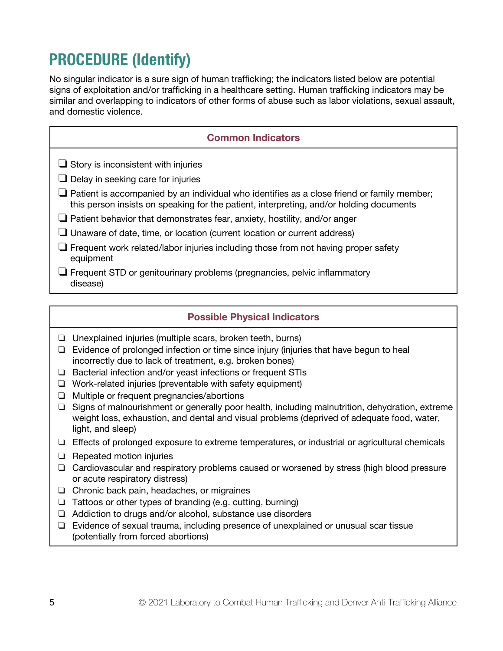# <span id="page-4-0"></span>**PROCEDURE (Identify)**

No singular indicator is a sure sign of human trafficking; the indicators listed below are potential signs of exploitation and/or trafficking in a healthcare setting. Human trafficking indicators may be similar and overlapping to indicators of other forms of abuse such as labor violations, sexual assault, and domestic violence.

| <b>Common Indicators</b>                                                                                                                                                                     |
|----------------------------------------------------------------------------------------------------------------------------------------------------------------------------------------------|
| $\Box$ Story is inconsistent with injuries<br>$\Box$ Delay in seeking care for injuries                                                                                                      |
| $\Box$ Patient is accompanied by an individual who identifies as a close friend or family member;<br>this person insists on speaking for the patient, interpreting, and/or holding documents |
| $\Box$ Patient behavior that demonstrates fear, anxiety, hostility, and/or anger                                                                                                             |
| $\Box$ Unaware of date, time, or location (current location or current address)                                                                                                              |
| $\Box$ Frequent work related/labor injuries including those from not having proper safety<br>equipment                                                                                       |
| $\Box$ Frequent STD or genitourinary problems (pregnancies, pelvic inflammatory<br>disease)                                                                                                  |

#### **Possible Physical Indicators**

- ❏ Unexplained injuries (multiple scars, broken teeth, burns)
- ❏ Evidence of prolonged infection or time since injury (injuries that have begun to heal incorrectly due to lack of treatment, e.g. broken bones)
- ❏ Bacterial infection and/or yeast infections or frequent STIs
- ❏ Work-related injuries (preventable with safety equipment)
- ❏ Multiple or frequent pregnancies/abortions
- ❏ Signs of malnourishment or generally poor health, including malnutrition, dehydration, extreme weight loss, exhaustion, and dental and visual problems (deprived of adequate food, water, light, and sleep)
- $\Box$  Effects of prolonged exposure to extreme temperatures, or industrial or agricultural chemicals
- ❏ Repeated motion injuries
- ❏ Cardiovascular and respiratory problems caused or worsened by stress (high blood pressure or acute respiratory distress)
- ❏ Chronic back pain, headaches, or migraines
- ❏ Tattoos or other types of branding (e.g. cutting, burning)
- ❏ Addiction to drugs and/or alcohol, substance use disorders
- ❏ Evidence of sexual trauma, including presence of unexplained or unusual scar tissue (potentially from forced abortions)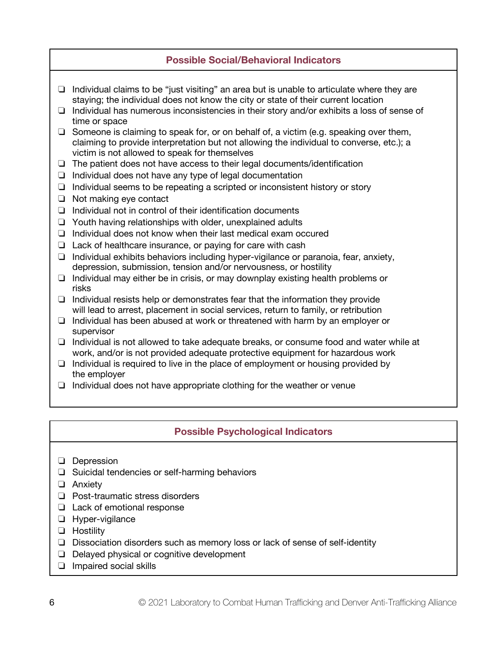#### **Possible Social/Behavioral Indicators**

- ❏ Individual claims to be "just visiting" an area but is unable to articulate where they are staying; the individual does not know the city or state of their current location
- ❏ Individual has numerous inconsistencies in their story and/or exhibits a loss of sense of time or space
- ❏ Someone is claiming to speak for, or on behalf of, a victim (e.g. speaking over them, claiming to provide interpretation but not allowing the individual to converse, etc.); a victim is not allowed to speak for themselves
- ❏ The patient does not have access to their legal documents/identification
- ❏ Individual does not have any type of legal documentation
- ❏ Individual seems to be repeating a scripted or inconsistent history or story
- ❏ Not making eye contact
- ❏ Individual not in control of their identification documents
- ❏ Youth having relationships with older, unexplained adults
- ❏ Individual does not know when their last medical exam occured
- ❏ Lack of healthcare insurance, or paying for care with cash
- ❏ Individual exhibits behaviors including hyper-vigilance or paranoia, fear, anxiety, depression, submission, tension and/or nervousness, or hostility
- ❏ Individual may either be in crisis, or may downplay existing health problems or risks
- ❏ Individual resists help or demonstrates fear that the information they provide will lead to arrest, placement in social services, return to family, or retribution
- ❏ Individual has been abused at work or threatened with harm by an employer or supervisor
- ❏ Individual is not allowed to take adequate breaks, or consume food and water while at work, and/or is not provided adequate protective equipment for hazardous work
- ❏ Individual is required to live in the place of employment or housing provided by the employer
- ❏ Individual does not have appropriate clothing for the weather or venue

#### **Possible Psychological Indicators**

- ❏ Depression
- ❏ Suicidal tendencies or self-harming behaviors
- ❏ Anxiety
- ❏ Post-traumatic stress disorders
- ❏ Lack of emotional response
- ❏ Hyper-vigilance
- ❏ Hostility
- ❏ Dissociation disorders such as memory loss or lack of sense of self-identity
- ❏ Delayed physical or cognitive development
- ❏ Impaired social skills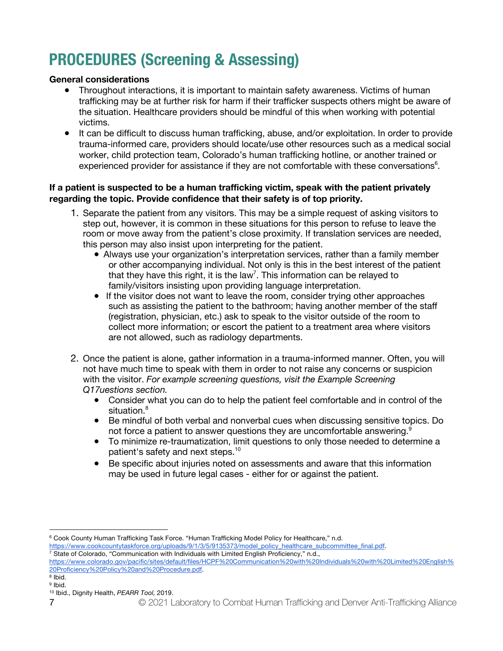# <span id="page-6-0"></span>**PROCEDURES (Screening & Assessing)**

#### **General considerations**

- Throughout interactions, it is important to maintain safety awareness. Victims of human trafficking may be at further risk for harm if their trafficker suspects others might be aware of the situation. Healthcare providers should be mindful of this when working with potential victims.
- It can be difficult to discuss human trafficking, abuse, and/or exploitation. In order to provide trauma-informed care, providers should locate/use other resources such as a medical social worker, child protection team, Colorado's human trafficking hotline, or another trained or experienced provider for assistance if they are not comfortable with these conversations<sup>6</sup>.

#### **If a patient is suspected to be a human trafficking victim, speak with the patient privately regarding the topic. Provide confidence that their safety is of top priority.**

- 1. Separate the patient from any visitors. This may be a simple request of asking visitors to step out, however, it is common in these situations for this person to refuse to leave the room or move away from the patient's close proximity. If translation services are needed, this person may also insist upon interpreting for the patient.
	- Always use your organization's interpretation services, rather than a family member or other accompanying individual. Not only is this in the best interest of the patient that they have this right, it is the law<sup>7</sup>. This information can be relayed to family/visitors insisting upon providing language interpretation.
	- If the visitor does not want to leave the room, consider trying other approaches such as assisting the patient to the bathroom; having another member of the staff (registration, physician, etc.) ask to speak to the visitor outside of the room to collect more information; or escort the patient to a treatment area where visitors are not allowed, such as radiology departments.
- 2. Once the patient is alone, gather information in a trauma-informed manner. Often, you will not have much time to speak with them in order to not raise any concerns or suspicion with the visitor. *For example screening questions, visit the Example Screening Q17uestions section.* 
	- Consider what you can do to help the patient feel comfortable and in control of the situation.<sup>8</sup>
	- Be mindful of both verbal and nonverbal cues when discussing sensitive topics. Do not force a patient to answer questions they are uncomfortable answering.<sup>9</sup>
	- To minimize re-traumatization, limit questions to only those needed to determine a patient's safety and next steps.<sup>10</sup>
	- Be specific about injuries noted on assessments and aware that this information may be used in future legal cases - either for or against the patient.

<sup>6</sup> Cook County Human Trafficking Task Force. "Human Trafficking Model Policy for Healthcare," n.d.

[https://www.cookcountytaskforce.org/uploads/9/1/3/5/9135373/model\\_policy\\_healthcare\\_subcommittee\\_final.pdf. 7](https://www.cookcountytaskforce.org/uploads/9/1/3/5/9135373/model_policy_healthcare_subcommittee_final.pdf) State of Colorado, "Communication with Individuals with Limited English Proficiency," n.d.,

<https://www.colorado.gov/pacific/sites/default/files/HCPF%20Communication%20with%20Individuals%20with%20Limited%20English%> 20Proficiency%20Policy%20and%20Procedure.pdf. 8 Ibid.

<sup>9</sup> Ibid.

<sup>10</sup> Ibid., Dignity Health, *PEARR Tool,* 2019.

<sup>7</sup> © 2021 Laboratory to Combat Human Trafficking and Denver Anti-Trafficking Alliance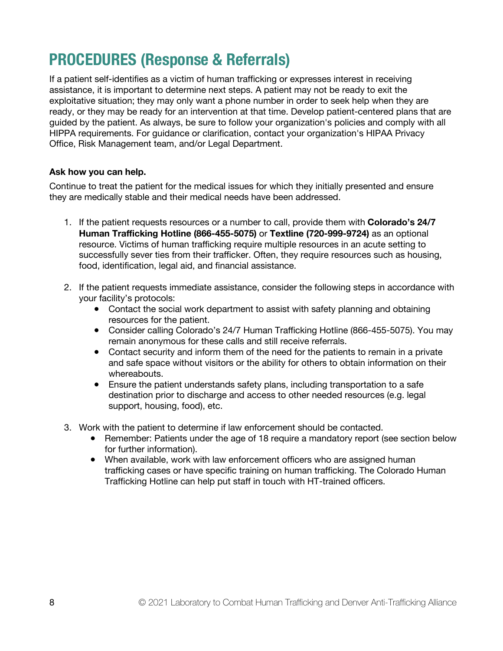## **PROCEDURES (Response & Referrals)**

If a patient self-identifies as a victim of human trafficking or expresses interest in receiving assistance, it is important to determine next steps. A patient may not be ready to exit the exploitative situation; they may only want a phone number in order to seek help when they are ready, or they may be ready for an intervention at that time. Develop patient-centered plans that are guided by the patient. As always, be sure to follow your organization's policies and comply with all HIPPA requirements. For guidance or clarification, contact your organization's HIPAA Privacy Office, Risk Management team, and/or Legal Department.

#### **Ask how you can help.**

Continue to treat the patient for the medical issues for which they initially presented and ensure they are medically stable and their medical needs have been addressed.

- 1. If the patient requests resources or a number to call, provide them with **Colorado's 24/7 Human Trafficking Hotline (866-455-5075)** or **Textline (720-999-9724)** as an optional resource. Victims of human trafficking require multiple resources in an acute setting to successfully sever ties from their trafficker. Often, they require resources such as housing, food, identification, legal aid, and financial assistance.
- 2. If the patient requests immediate assistance, consider the following steps in accordance with your facility's protocols:
	- Contact the social work department to assist with safety planning and obtaining resources for the patient.
	- Consider calling Colorado's 24/7 Human Trafficking Hotline (866-455-5075). You may remain anonymous for these calls and still receive referrals.
	- Contact security and inform them of the need for the patients to remain in a private and safe space without visitors or the ability for others to obtain information on their whereabouts.
	- Ensure the patient understands safety plans, including transportation to a safe destination prior to discharge and access to other needed resources (e.g. legal support, housing, food), etc.
- 3. Work with the patient to determine if law enforcement should be contacted.
	- Remember: Patients under the age of 18 require a mandatory report (see section below for further information).
	- When available, work with law enforcement officers who are assigned human trafficking cases or have specific training on human trafficking. The Colorado Human Trafficking Hotline can help put staff in touch with HT-trained officers.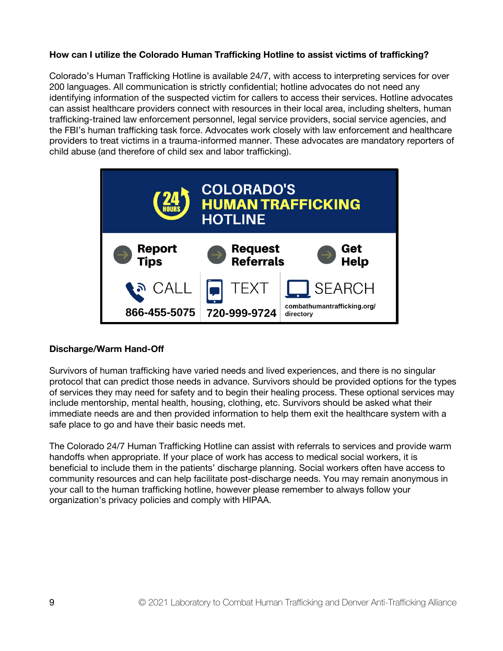#### <span id="page-8-0"></span>**How can I utilize the Colorado Human Trafficking Hotline to assist victims of trafficking?**

Colorado's Human Trafficking Hotline is available 24/7, with access to interpreting services for over 200 languages. All communication is strictly confidential; hotline advocates do not need any identifying information of the suspected victim for callers to access their services. Hotline advocates can assist healthcare providers connect with resources in their local area, including shelters, human trafficking-trained law enforcement personnel, legal service providers, social service agencies, and the FBI's human trafficking task force. Advocates work closely with law enforcement and healthcare providers to treat victims in a trauma-informed manner. These advocates are mandatory reporters of child abuse (and therefore of child sex and labor trafficking).



#### **Discharge/Warm Hand-Off**

Survivors of human trafficking have varied needs and lived experiences, and there is no singular protocol that can predict those needs in advance. Survivors should be provided options for the types of services they may need for safety and to begin their healing process. These optional services may include mentorship, mental health, housing, clothing, etc. Survivors should be asked what their immediate needs are and then provided information to help them exit the healthcare system with a safe place to go and have their basic needs met.

The Colorado 24/7 Human Trafficking Hotline can assist with referrals to services and provide warm handoffs when appropriate. If your place of work has access to medical social workers, it is beneficial to include them in the patients' discharge planning. Social workers often have access to community resources and can help facilitate post-discharge needs. You may remain anonymous in your call to the human trafficking hotline, however please remember to always follow your organization's privacy policies and comply with HIPAA.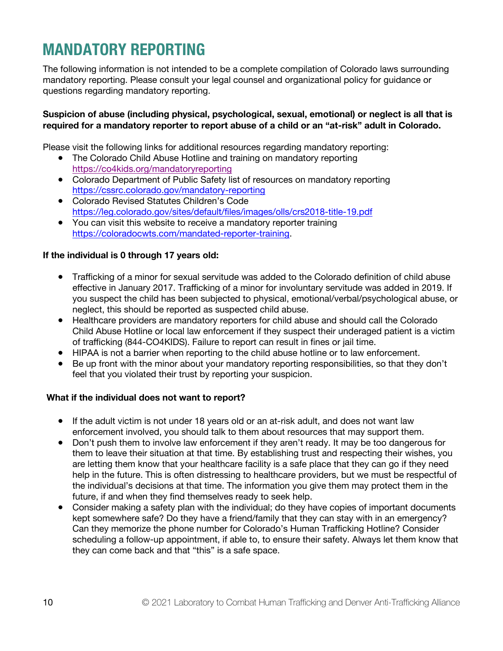## <span id="page-9-0"></span>**MANDATORY REPORTING**

The following information is not intended to be a complete compilation of Colorado laws surrounding mandatory reporting. Please consult your legal counsel and organizational policy for guidance or questions regarding mandatory reporting.

#### **Suspicion of abuse (including physical, psychological, sexual, emotional) or neglect is all that is required for a mandatory reporter to report abuse of a child or an "at-risk" adult in Colorado.**

Please visit the following links for additional resources regarding mandatory reporting:

- The Colorado Child Abuse Hotline and training on mandatory reporting <https://co4kids.org/mandatoryreporting>
- Colorado Department of Public Safety list of resources on mandatory reporting <https://cssrc.colorado.gov/mandatory-reporting>
- Colorado Revised Statutes Children's Code <https://leg.colorado.gov/sites/default/files/images/olls/crs2018-title-19.pdf>
- You can visit this website to receive a mandatory reporter training [https://coloradocwts.com/mandated-reporter-training.](https://coloradocwts.com/mandated-reporter-training)

#### **If the individual is 0 through 17 years old:**

- Trafficking of a minor for sexual servitude was added to the Colorado definition of child abuse effective in January 2017. Trafficking of a minor for involuntary servitude was added in 2019. If you suspect the child has been subjected to physical, emotional/verbal/psychological abuse, or neglect, this should be reported as suspected child abuse.
- Healthcare providers are mandatory reporters for child abuse and should call the Colorado Child Abuse Hotline or local law enforcement if they suspect their underaged patient is a victim of trafficking (844-CO4KIDS). Failure to report can result in fines or jail time.
- HIPAA is not a barrier when reporting to the child abuse hotline or to law enforcement.
- Be up front with the minor about your mandatory reporting responsibilities, so that they don't feel that you violated their trust by reporting your suspicion.

#### **What if the individual does not want to report?**

- If the adult victim is not under 18 years old or an at-risk adult, and does not want law enforcement involved, you should talk to them about resources that may support them.
- Don't push them to involve law enforcement if they aren't ready. It may be too dangerous for them to leave their situation at that time. By establishing trust and respecting their wishes, you are letting them know that your healthcare facility is a safe place that they can go if they need help in the future. This is often distressing to healthcare providers, but we must be respectful of the individual's decisions at that time. The information you give them may protect them in the future, if and when they find themselves ready to seek help.
- Consider making a safety plan with the individual; do they have copies of important documents kept somewhere safe? Do they have a friend/family that they can stay with in an emergency? Can they memorize the phone number for Colorado's Human Trafficking Hotline? Consider scheduling a follow-up appointment, if able to, to ensure their safety. Always let them know that they can come back and that "this" is a safe space.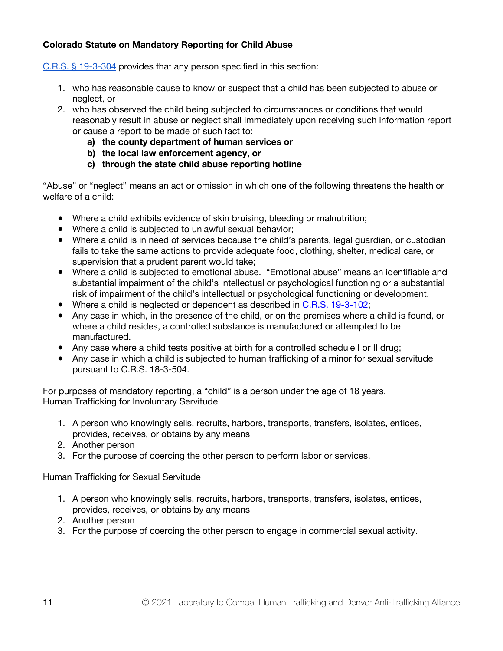#### **Colorado Statute on Mandatory Reporting for Child Abuse**

[C.R.S. § 19-3-304](https://codes.findlaw.com/co/title-19-childrens-code/co-rev-st-sect-19-3-304.html) provides that any person specified in this section:

- 1. who has reasonable cause to know or suspect that a child has been subjected to abuse or neglect, or
- 2. who has observed the child being subjected to circumstances or conditions that would reasonably result in abuse or neglect shall immediately upon receiving such information report or cause a report to be made of such fact to:
	- **a) the county department of human services or**
	- **b) the local law enforcement agency, or**
	- **c) through the state child abuse reporting hotline**

"Abuse" or "neglect" means an act or omission in which one of the following threatens the health or welfare of a child:

- Where a child exhibits evidence of skin bruising, bleeding or malnutrition;
- Where a child is subjected to unlawful sexual behavior;
- Where a child is in need of services because the child's parents, legal guardian, or custodian fails to take the same actions to provide adequate food, clothing, shelter, medical care, or supervision that a prudent parent would take;
- Where a child is subjected to emotional abuse. "Emotional abuse" means an identifiable and substantial impairment of the child's intellectual or psychological functioning or a substantial risk of impairment of the child's intellectual or psychological functioning or development.
- Where a child is neglected or dependent as described i[n C.R.S. 19-3-102;](https://codes.findlaw.com/co/title-19-childrens-code/co-rev-st-sect-19-3-102.html)
- Any case in which, in the presence of the child, or on the premises where a child is found, or where a child resides, a controlled substance is manufactured or attempted to be manufactured.
- Any case where a child tests positive at birth for a controlled schedule I or II drug;
- Any case in which a child is subjected to human trafficking of a minor for sexual servitude pursuant to C.R.S. 18-3-504.

For purposes of mandatory reporting, a "child" is a person under the age of 18 years. Human Trafficking for Involuntary Servitude

- 1. A person who knowingly sells, recruits, harbors, transports, transfers, isolates, entices, provides, receives, or obtains by any means
- 2. Another person
- 3. For the purpose of coercing the other person to perform labor or services.

Human Trafficking for Sexual Servitude

- 1. A person who knowingly sells, recruits, harbors, transports, transfers, isolates, entices, provides, receives, or obtains by any means
- 2. Another person
- 3. For the purpose of coercing the other person to engage in commercial sexual activity.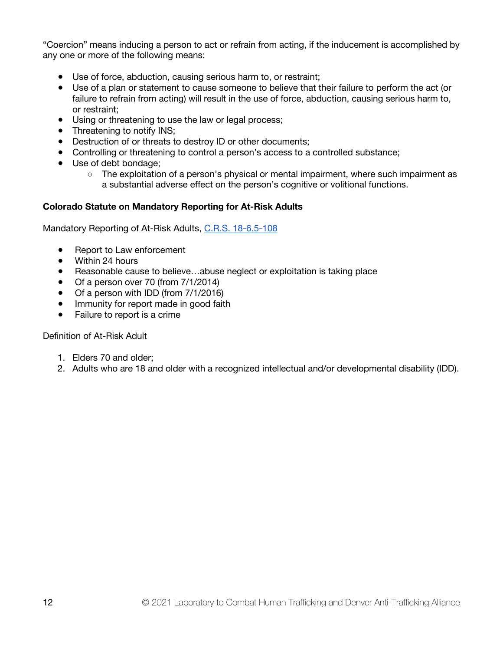"Coercion" means inducing a person to act or refrain from acting, if the inducement is accomplished by any one or more of the following means:

- Use of force, abduction, causing serious harm to, or restraint;
- Use of a plan or statement to cause someone to believe that their failure to perform the act (or failure to refrain from acting) will result in the use of force, abduction, causing serious harm to, or restraint;
- Using or threatening to use the law or legal process;
- Threatening to notify INS;
- Destruction of or threats to destroy ID or other documents;
- Controlling or threatening to control a person's access to a controlled substance;
- Use of debt bondage;
	- The exploitation of a person's physical or mental impairment, where such impairment as a substantial adverse effect on the person's cognitive or volitional functions.

#### **Colorado Statute on Mandatory Reporting for At-Risk Adults**

Mandatory Reporting of At-Risk Adults, [C.R.S. 18-6.5-108](https://codes.findlaw.com/co/title-18-criminal-code/co-rev-st-sect-18-6-5-108.html)

- Report to Law enforcement
- Within 24 hours
- Reasonable cause to believe…abuse neglect or exploitation is taking place
- Of a person over 70 (from 7/1/2014)
- Of a person with IDD (from 7/1/2016)
- Immunity for report made in good faith
- Failure to report is a crime

Definition of At-Risk Adult

- 1. Elders 70 and older;
- 2. Adults who are 18 and older with a recognized intellectual and/or developmental disability (IDD).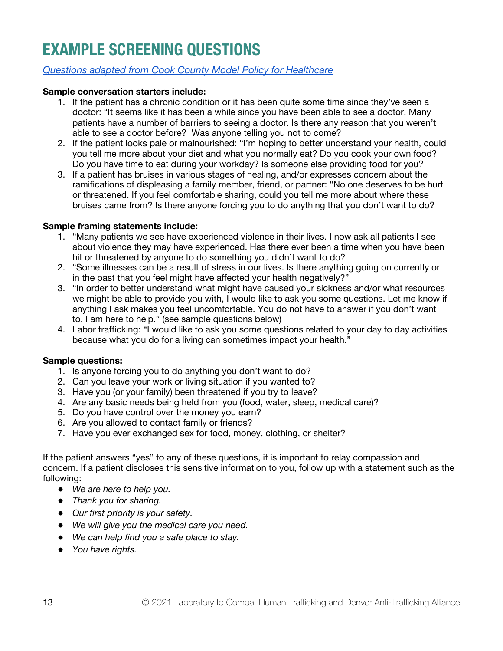# <span id="page-12-0"></span>**EXAMPLE SCREENING QUESTIONS**

#### *[Questions adapted from Cook County Model Policy for Healthcare](https://www.cookcountytaskforce.org/uploads/9/1/3/5/9135373/model_policy_healthcare_subcommittee_final.pdf)*

#### **Sample conversation starters include:**

- 1. If the patient has a chronic condition or it has been quite some time since they've seen a doctor: "It seems like it has been a while since you have been able to see a doctor. Many patients have a number of barriers to seeing a doctor. Is there any reason that you weren't able to see a doctor before? Was anyone telling you not to come?
- 2. If the patient looks pale or malnourished: "I'm hoping to better understand your health, could you tell me more about your diet and what you normally eat? Do you cook your own food? Do you have time to eat during your workday? Is someone else providing food for you?
- 3. If a patient has bruises in various stages of healing, and/or expresses concern about the ramifications of displeasing a family member, friend, or partner: "No one deserves to be hurt or threatened. If you feel comfortable sharing, could you tell me more about where these bruises came from? Is there anyone forcing you to do anything that you don't want to do?

#### **Sample framing statements include:**

- 1. "Many patients we see have experienced violence in their lives. I now ask all patients I see about violence they may have experienced. Has there ever been a time when you have been hit or threatened by anyone to do something you didn't want to do?
- 2. "Some illnesses can be a result of stress in our lives. Is there anything going on currently or in the past that you feel might have affected your health negatively?"
- 3. "In order to better understand what might have caused your sickness and/or what resources we might be able to provide you with, I would like to ask you some questions. Let me know if anything I ask makes you feel uncomfortable. You do not have to answer if you don't want to. I am here to help." (see sample questions below)
- 4. Labor trafficking: "I would like to ask you some questions related to your day to day activities because what you do for a living can sometimes impact your health."

#### **Sample questions:**

- 1. Is anyone forcing you to do anything you don't want to do?
- 2. Can you leave your work or living situation if you wanted to?
- 3. Have you (or your family) been threatened if you try to leave?
- 4. Are any basic needs being held from you (food, water, sleep, medical care)?
- 5. Do you have control over the money you earn?
- 6. Are you allowed to contact family or friends?
- 7. Have you ever exchanged sex for food, money, clothing, or shelter?

If the patient answers "yes" to any of these questions, it is important to relay compassion and concern. If a patient discloses this sensitive information to you, follow up with a statement such as the following:

- *We are here to help you.*
- *Thank you for sharing.*
- *Our first priority is your safety.*
- *We will give you the medical care you need.*
- *We can help find you a safe place to stay.*
- *You have rights.*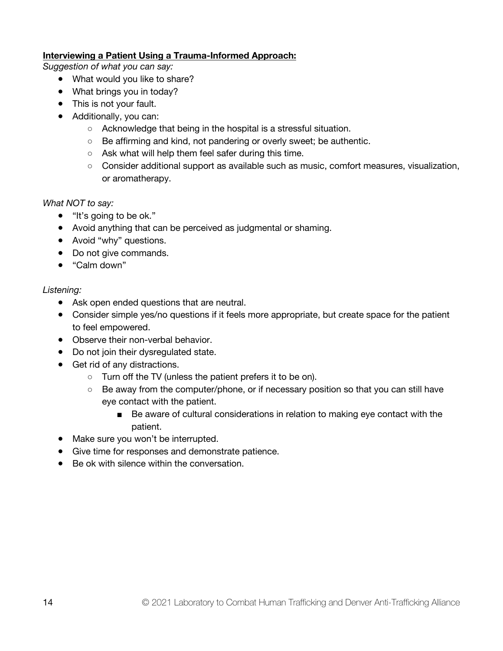#### **Interviewing a Patient Using a Trauma-Informed Approach:**

*Suggestion of what you can say:*

- What would you like to share?
- What brings you in today?
- This is not your fault.
- Additionally, you can:
	- Acknowledge that being in the hospital is a stressful situation.
	- Be affirming and kind, not pandering or overly sweet; be authentic.
	- Ask what will help them feel safer during this time.
	- Consider additional support as available such as music, comfort measures, visualization, or aromatherapy.

*What NOT to say:*

- "It's going to be ok."
- Avoid anything that can be perceived as judgmental or shaming.
- Avoid "why" questions.
- Do not give commands.
- "Calm down"

#### *Listening:*

- Ask open ended questions that are neutral.
- Consider simple yes/no questions if it feels more appropriate, but create space for the patient to feel empowered.
- Observe their non-verbal behavior.
- Do not join their dysregulated state.
- Get rid of any distractions.
	- Turn off the TV (unless the patient prefers it to be on).
	- Be away from the computer/phone, or if necessary position so that you can still have eye contact with the patient.
		- Be aware of cultural considerations in relation to making eye contact with the patient.
- Make sure you won't be interrupted.
- Give time for responses and demonstrate patience.
- Be ok with silence within the conversation.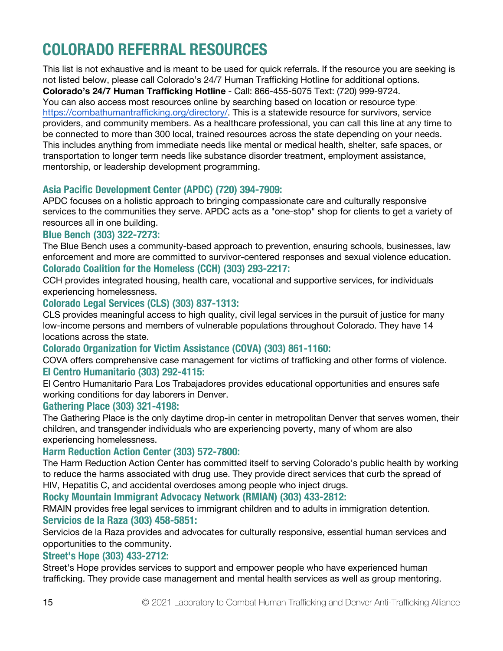# <span id="page-14-0"></span>**COLORADO REFERRAL RESOURCES**

This list is not exhaustive and is meant to be used for quick referrals. If the resource you are seeking is not listed below, please call Colorado's 24/7 Human Trafficking Hotline for additional options. **Colorado's 24/7 Human Trafficking Hotline** - Call: 866-455-5075 Text: (720) 999-9724. You can also access most resources online by searching based on location or resource type: [https://combathumantrafficking.org/directory/. Thi](https://combathumantrafficking.org/directory/)s is a statewide resource for survivors, service providers, and community members. As a healthcare professional, you can call this line at any time to be connected to more than 300 local, trained resources across the state depending on your needs. This includes anything from immediate needs like mental or medical health, shelter, safe spaces, or transportation to longer term needs like substance disorder treatment, employment assistance, mentorship, or leadership development programming.

#### **Asia Pacific Development Center (APDC) (720) 394-7909:**

APDC focuses on a holistic approach to bringing compassionate care and culturally responsive services to the communities they serve. APDC acts as a "one-stop" shop for clients to get a variety of resources all in one building.

#### **Blue Bench (303) 322-7273:**

The Blue Bench uses a community-based approach to prevention, ensuring schools, businesses, law enforcement and more are committed to survivor-centered responses and sexual violence education. **Colorado Coalition for the Homeless (CCH) (303) 293-2217:**

CCH provides integrated housing, health care, vocational and supportive services, for individuals experiencing homelessness.

#### **Colorado Legal Services (CLS) (303) 837-1313:**

CLS provides meaningful access to high quality, civil legal services in the pursuit of justice for many low-income persons and members of vulnerable populations throughout Colorado. They have 14 locations across the state.

#### **Colorado Organization for Victim Assistance (COVA) (303) 861-1160:**

COVA offers comprehensive case management for victims of trafficking and other forms of violence. **El Centro Humanitario (303) 292-4115:**

El Centro Humanitario Para Los Trabajadores provides educational opportunities and ensures safe working conditions for day laborers in Denver.

#### **Gathering Place (303) 321-4198:**

The Gathering Place is the only daytime drop-in center in metropolitan Denver that serves women, their children, and transgender individuals who are experiencing poverty, many of whom are also experiencing homelessness.

#### **Harm Reduction Action Center (303) 572-7800:**

The Harm Reduction Action Center has committed itself to serving Colorado's public health by working to reduce the harms associated with drug use. They provide direct services that curb the spread of HIV, Hepatitis C, and accidental overdoses among people who inject drugs.

**Rocky Mountain Immigrant Advocacy Network (RMIAN) (303) 433-2812:**

RMAIN provides free legal services to immigrant children and to adults in immigration detention. **Servicios de la Raza (303) 458-5851:**

Servicios de la Raza provides and advocates for culturally responsive, essential human services and opportunities to the community.

#### **Street's Hope (303) 433-2712:**

Street's Hope provides services to support and empower people who have experienced human trafficking. They provide case management and mental health services as well as group mentoring.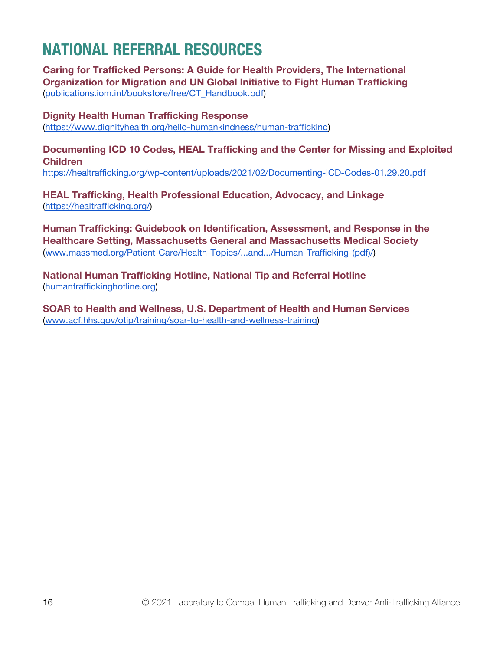## <span id="page-15-0"></span>**NATIONAL REFERRAL RESOURCES**

**Caring for Trafficked Persons: A Guide for Health Providers, The International Organization for Migration and UN Global Initiative to Fight Human Trafficking**  [\(publications.iom.int/bookstore/free/CT\\_Handbook.pdf\)](https://publications.iom.int/books/caring-trafficked-persons-guidance-health-providers)

**Dignity Health Human Trafficking Response** [\(https://www.dignityhealth.org/hello-humankindness/human-trafficking\)](https://www.dignityhealth.org/hello-humankindness/human-trafficking)

**Documenting ICD 10 Codes, HEAL Trafficking and the Center for Missing and Exploited Children** <https://healtrafficking.org/wp-content/uploads/2021/02/Documenting-ICD-Codes-01.29.20.pdf>

**HEAL Trafficking, Health Professional Education, Advocacy, and Linkage** [\(https://healtrafficking.org/\)](https://healtrafficking.org/)

**Human Trafficking: Guidebook on Identification, Assessment, and Response in the Healthcare Setting, Massachusetts General and Massachusetts Medical Society**  [\(www.massmed.org/Patient-Care/Health-Topics/...and.../Human-Trafficking-\(pd](http://www.massmed.org/Patient-Care/Health-Topics/...and.../Human-Trafficking-)f)/)

**National Human Trafficking Hotline, National Tip and Referral Hotline** [\(humantraffickinghotline.org\)](https://humantraffickinghotline.org)

**SOAR to Health and Wellness, U.S. Department of Health and Human Services** [\(www.acf.hhs.gov/otip/training/soar-to-health-and-wellness-training\)](http://www.acf.hhs.gov/otip/training/soar-to-health-and-wellness-training)